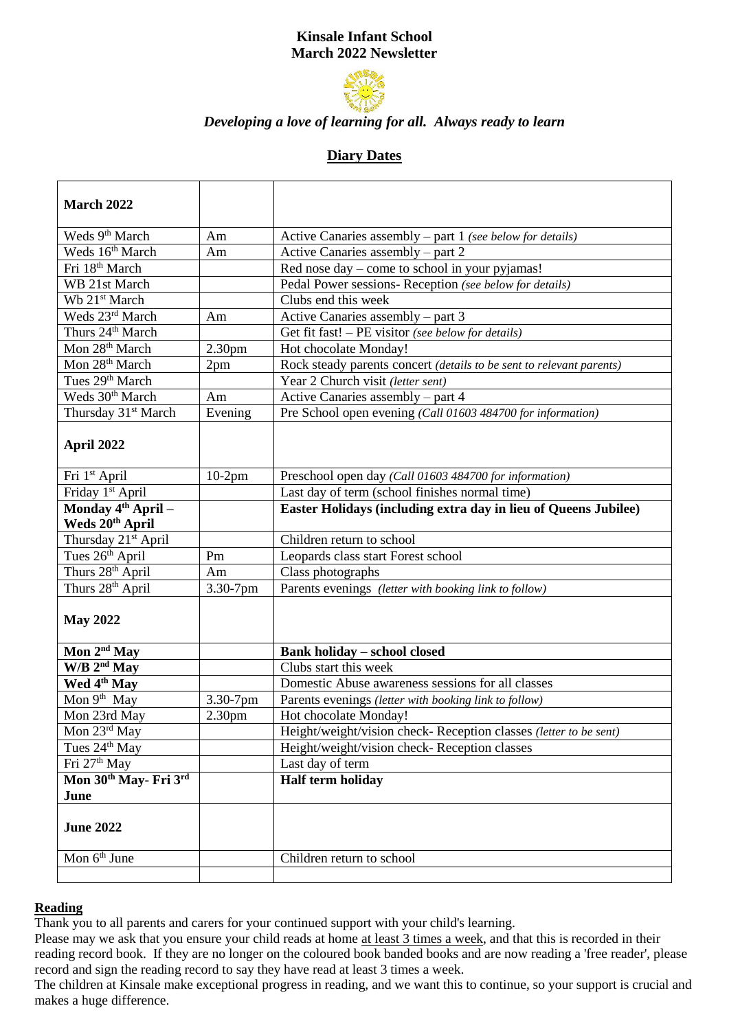# **Kinsale Infant School March 2022 Newsletter**



## *Developing a love of learning for all. Always ready to learn*

# **Diary Dates**

| March 2022                                        |                    |                                                                                                           |  |  |
|---------------------------------------------------|--------------------|-----------------------------------------------------------------------------------------------------------|--|--|
| Weds 9 <sup>th</sup> March                        | Am                 | Active Canaries assembly $-$ part 1 (see below for details)                                               |  |  |
| Weds 16th March                                   | Am                 | Active Canaries assembly – part 2                                                                         |  |  |
| Fri 18 <sup>th</sup> March                        |                    | Red nose day - come to school in your pyjamas!                                                            |  |  |
| WB 21st March                                     |                    | Pedal Power sessions- Reception (see below for details)                                                   |  |  |
| Wb 21 <sup>st</sup> March                         |                    | Clubs end this week                                                                                       |  |  |
| Weds 23rd March                                   | Am                 |                                                                                                           |  |  |
| Thurs 24 <sup>th</sup> March                      |                    | Active Canaries assembly $-$ part 3<br>Get fit fast! – PE visitor (see below for details)                 |  |  |
| Mon 28 <sup>th</sup> March                        | 2.30 <sub>pm</sub> |                                                                                                           |  |  |
| Mon 28 <sup>th</sup> March                        | 2pm                | Hot chocolate Monday!                                                                                     |  |  |
| Tues 29th March                                   |                    | Rock steady parents concert (details to be sent to relevant parents)<br>Year 2 Church visit (letter sent) |  |  |
| Weds 30 <sup>th</sup> March                       | Am                 |                                                                                                           |  |  |
| Thursday 31 <sup>st</sup> March                   | Evening            | Active Canaries assembly – part 4<br>Pre School open evening (Call 01603 484700 for information)          |  |  |
|                                                   |                    |                                                                                                           |  |  |
| April 2022                                        |                    |                                                                                                           |  |  |
| Fri 1 <sup>st</sup> April                         | $10-2$ pm          | Preschool open day (Call 01603 484700 for information)                                                    |  |  |
| Friday 1 <sup>st</sup> April                      |                    | Last day of term (school finishes normal time)                                                            |  |  |
| Monday 4 <sup>th</sup> April -<br>Weds 20th April |                    | Easter Holidays (including extra day in lieu of Queens Jubilee)                                           |  |  |
| Thursday 21 <sup>st</sup> April                   |                    | Children return to school                                                                                 |  |  |
| Tues 26 <sup>th</sup> April                       | Pm                 | Leopards class start Forest school                                                                        |  |  |
| Thurs 28 <sup>th</sup> April                      | Am                 | Class photographs                                                                                         |  |  |
| Thurs 28 <sup>th</sup> April                      | 3.30-7pm           | Parents evenings (letter with booking link to follow)                                                     |  |  |
| <b>May 2022</b>                                   |                    |                                                                                                           |  |  |
| Mon $2nd$ May                                     |                    | <b>Bank holiday - school closed</b>                                                                       |  |  |
| $W/B$ 2 <sup>nd</sup> May                         |                    | Clubs start this week                                                                                     |  |  |
| Wed 4 <sup>th</sup> May                           |                    | Domestic Abuse awareness sessions for all classes                                                         |  |  |
| Mon 9 <sup>th</sup> May                           | 3.30-7pm           | Parents evenings (letter with booking link to follow)                                                     |  |  |
| Mon 23rd May                                      | 2.30 <sub>pm</sub> | Hot chocolate Monday!                                                                                     |  |  |
| Mon 23rd May                                      |                    | Height/weight/vision check- Reception classes (letter to be sent)                                         |  |  |
| Tues 24 <sup>th</sup> May                         |                    | Height/weight/vision check-Reception classes                                                              |  |  |
| Fri 27 <sup>th</sup> May                          |                    | Last day of term                                                                                          |  |  |
| Mon 30th May-Fri 3rd                              |                    | Half term holiday                                                                                         |  |  |
| June                                              |                    |                                                                                                           |  |  |
| <b>June 2022</b>                                  |                    |                                                                                                           |  |  |
| Mon 6 <sup>th</sup> June                          |                    | Children return to school                                                                                 |  |  |
|                                                   |                    |                                                                                                           |  |  |

#### **Reading**

Thank you to all parents and carers for your continued support with your child's learning.

Please may we ask that you ensure your child reads at home at least 3 times a week, and that this is recorded in their reading record book. If they are no longer on the coloured book banded books and are now reading a 'free reader', please record and sign the reading record to say they have read at least 3 times a week.

The children at Kinsale make exceptional progress in reading, and we want this to continue, so your support is crucial and makes a huge difference.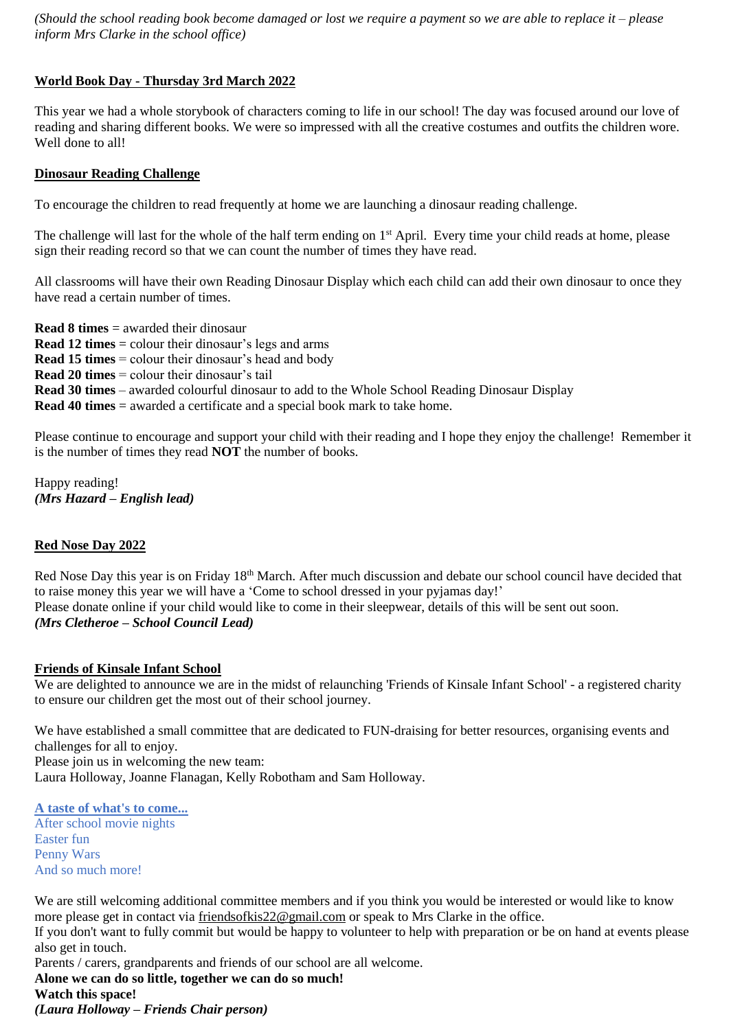*(Should the school reading book become damaged or lost we require a payment so we are able to replace it – please inform Mrs Clarke in the school office)* 

## **World Book Day - Thursday 3rd March 2022**

This year we had a whole storybook of characters coming to life in our school! The day was focused around our love of reading and sharing different books. We were so impressed with all the creative costumes and outfits the children wore. Well done to all!

#### **Dinosaur Reading Challenge**

To encourage the children to read frequently at home we are launching a dinosaur reading challenge.

The challenge will last for the whole of the half term ending on 1<sup>st</sup> April. Every time your child reads at home, please sign their reading record so that we can count the number of times they have read.

All classrooms will have their own Reading Dinosaur Display which each child can add their own dinosaur to once they have read a certain number of times.

**Read 8 times** = awarded their dinosaur **Read 12 times** = colour their dinosaur's legs and arms **Read 15 times** = colour their dinosaur's head and body **Read 20 times** = colour their dinosaur's tail **Read 30 times** – awarded colourful dinosaur to add to the Whole School Reading Dinosaur Display **Read 40 times** = awarded a certificate and a special book mark to take home.

Please continue to encourage and support your child with their reading and I hope they enjoy the challenge! Remember it is the number of times they read **NOT** the number of books.

Happy reading! *(Mrs Hazard – English lead)* 

#### **Red Nose Day 2022**

Red Nose Day this year is on Friday 18<sup>th</sup> March. After much discussion and debate our school council have decided that to raise money this year we will have a 'Come to school dressed in your pyjamas day!' Please donate online if your child would like to come in their sleepwear, details of this will be sent out soon. *(Mrs Cletheroe – School Council Lead)* 

#### **Friends of Kinsale Infant School**

We are delighted to announce we are in the midst of relaunching 'Friends of Kinsale Infant School' - a registered charity to ensure our children get the most out of their school journey.

We have established a small committee that are dedicated to FUN-draising for better resources, organising events and challenges for all to enjoy.

Please join us in welcoming the new team:

Laura Holloway, Joanne Flanagan, Kelly Robotham and Sam Holloway.

#### **A taste of what's to come...**

After school movie nights Easter fun Penny Wars And so much more!

We are still welcoming additional committee members and if you think you would be interested or would like to know more please get in contact via [friendsofkis22@gmail.com](mailto:friendsofkis22@gmail.com) or speak to Mrs Clarke in the office.

If you don't want to fully commit but would be happy to volunteer to help with preparation or be on hand at events please also get in touch.

Parents / carers, grandparents and friends of our school are all welcome.

**Alone we can do so little, together we can do so much!**

**Watch this space!**

*(Laura Holloway – Friends Chair person)*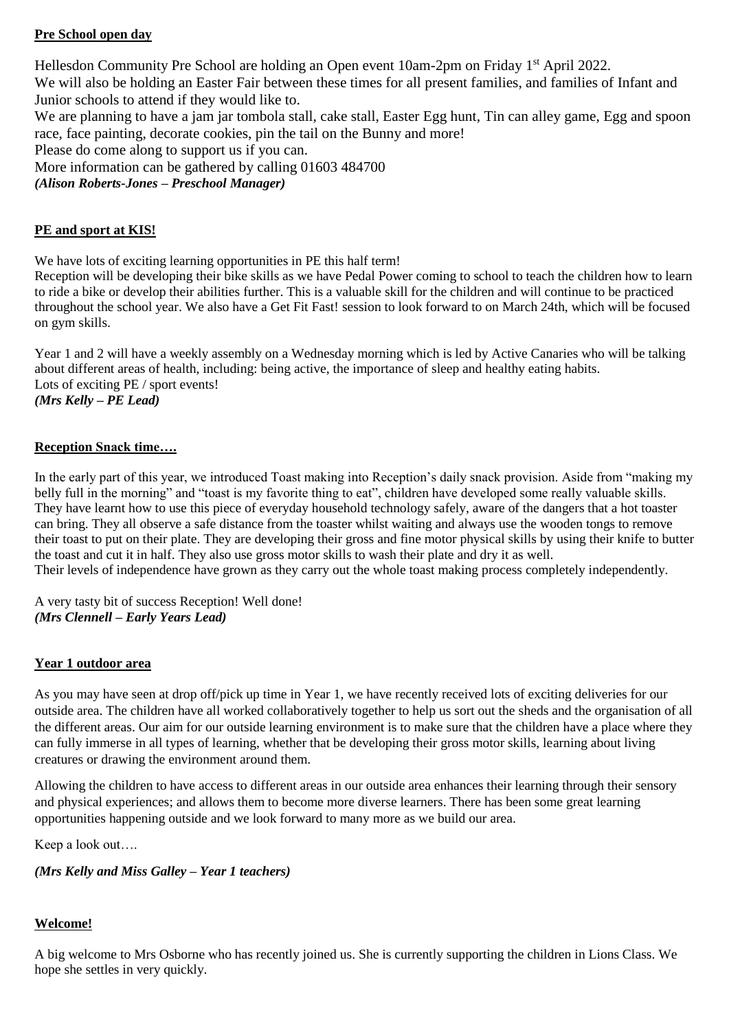# **Pre School open day**

Hellesdon Community Pre School are holding an Open event 10am-2pm on Friday 1<sup>st</sup> April 2022. We will also be holding an Easter Fair between these times for all present families, and families of Infant and Junior schools to attend if they would like to.

We are planning to have a jam jar tombola stall, cake stall, Easter Egg hunt, Tin can alley game, Egg and spoon race, face painting, decorate cookies, pin the tail on the Bunny and more!

Please do come along to support us if you can.

More information can be gathered by calling 01603 484700

*(Alison Roberts-Jones – Preschool Manager)* 

## **PE and sport at KIS!**

We have lots of exciting learning opportunities in PE this half term!

Reception will be developing their bike skills as we have Pedal Power coming to school to teach the children how to learn to ride a bike or develop their abilities further. This is a valuable skill for the children and will continue to be practiced throughout the school year. We also have a Get Fit Fast! session to look forward to on March 24th, which will be focused on gym skills.

Year 1 and 2 will have a weekly assembly on a Wednesday morning which is led by Active Canaries who will be talking about different areas of health, including: being active, the importance of sleep and healthy eating habits. Lots of exciting PE / sport events! *(Mrs Kelly – PE Lead)* 

## **Reception Snack time….**

In the early part of this year, we introduced Toast making into Reception's daily snack provision. Aside from "making my belly full in the morning" and "toast is my favorite thing to eat", children have developed some really valuable skills. They have learnt how to use this piece of everyday household technology safely, aware of the dangers that a hot toaster can bring. They all observe a safe distance from the toaster whilst waiting and always use the wooden tongs to remove their toast to put on their plate. They are developing their gross and fine motor physical skills by using their knife to butter the toast and cut it in half. They also use gross motor skills to wash their plate and dry it as well. Their levels of independence have grown as they carry out the whole toast making process completely independently.

A very tasty bit of success Reception! Well done! *(Mrs Clennell – Early Years Lead)* 

## **Year 1 outdoor area**

As you may have seen at drop off/pick up time in Year 1, we have recently received lots of exciting deliveries for our outside area. The children have all worked collaboratively together to help us sort out the sheds and the organisation of all the different areas. Our aim for our outside learning environment is to make sure that the children have a place where they can fully immerse in all types of learning, whether that be developing their gross motor skills, learning about living creatures or drawing the environment around them.

Allowing the children to have access to different areas in our outside area enhances their learning through their sensory and physical experiences; and allows them to become more diverse learners. There has been some great learning opportunities happening outside and we look forward to many more as we build our area.

Keep a look out….

## *(Mrs Kelly and Miss Galley – Year 1 teachers)*

# **Welcome!**

A big welcome to Mrs Osborne who has recently joined us. She is currently supporting the children in Lions Class. We hope she settles in very quickly.